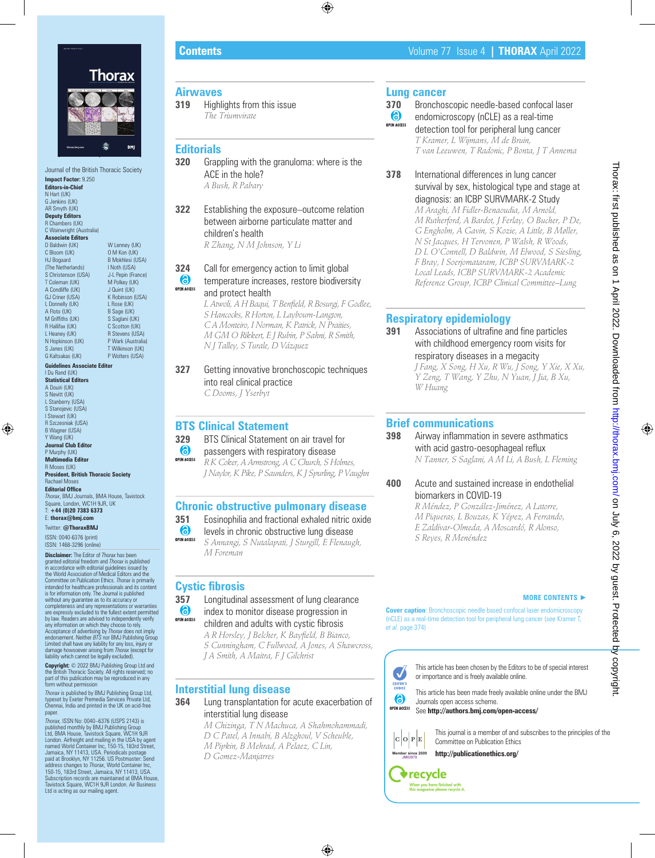

Journal of the British Thoracic Society **Impact Factor:** 9.250 **Editors-in-Chief** N Hart (UK) G Jenkins (UK) AR Smyth (UK) **Deputy Editors** R Chambers (UK) C Wainwright (Australia) **Associate Editors** D Baldwin (UK) C Bloom (UK) HJ Bogaard (The Netherlands) S Christenson (USA) T Coleman (UK) A Condliffe (UK) GJ Criner (USA) L Donnelly (UK) A Floto (UK) M Griffiths (UK) R Hallifax (UK) L Heaney (UK) N Hopkinson (UK) S Janes (UK) G Kaltsakas (UK) W Lenney (UK) O M Kon (UK) B Mokhlesi (USA) I Noth (USA) J-L Pepin (France) M Polkey (UK) J Quint (UK) K Robinson (USA) L Rose (UK) B Sage (UK) S Saglani (UK) C Scotton (UK) R Stevens (USA) P Wark (Australia) T Wilkinson (UK) P Wolters (USA) **Guidelines Associate Editor** I Du Rand (UK) **Statistical Editors** A Douiri (UK) S Nevitt (UK) L Stanberry (USA) S Stanojevic (USA) I Stewart (UK) R Szczesniak (USA) B Wagner (USA) Y Wang (UK) **Journal Club Edito** P Murphy (UK) **Multimedia Editor** R Moses (UK) **President, British Thoracic Society** Rachael Moses **Editorial Office** *Thorax*, BMJ Journals, BMA House, Tavistock Square, London, WC1H 9JR, UK T: **+44 (0)20 7383 6373** E: **thorax@bmj.com** Twitter: **@ThoraxBMJ** ISSN: 0040-6376 (print) ISSN: 1468-3296 (online) **Disclaimer:** The Editor of *Thorax* has been granted editorial freedom and *Thorax* is published in accordance with editorial guidelines issued by the World Association of Medical Editors and the

Committee on Publication Ethics. *Thorax* is primarily intended for healthcare professionals and its content is for information only. The Journal is published without any guarantee as to its accuracy or completeness and any representations or warranties are expressly excluded to the fullest extent permitted by law. Readers are advised to independently verify any information on which they choose to rely.<br>Acceptance of advertising by *Thorax* does not imply<br>endorsement. Neither *BTS* nor BMJ Publishing Group Limited shall have any liability for any loss, injury or damage howsoever arising from *Thorax* (except for liability which cannot be legally excluded).

**Copyright:** © 2022 BMJ Publishing Group Ltd and the British Thoracic Society. All rights reserved; no part of this publication may be reproduced in any form without permission

*Thorax* is published by BMJ Publishing Group Ltd, typeset by Exeter Premedia Services Private Ltd, Chennai, India and printed in the UK on acid-free paper.

*Thorax,* ISSN No: 0040–6376 (USPS 2143) is published monthly by BMJ Publishing Group<br>Ltd, BMA House, Tavistock Square, WC1H 9JR<br>London. Airfreight and mailing in the USA by agent<br>named World Container Inc., 150-15, 183rd Street,<br>Jamaica, NY 11413, USA. Periodicals Subscription records are maintained at BMA House, Tavistock Square, WC1H 9JR London. Air Business Ltd is acting as our mailing agent.

# **Airwaves**

**319** Highlights from this issue *The Triumvirate*

# **Editorials**

**320** Grappling with the granuloma: where is the ACE in the hole? *A Bush, R Pabary*

**322** Establishing the exposure–outcome relation between airborne particulate matter and children's health *R Zhang, N M Johnson, Y Li*

#### **324** Call for emergency action to limit global (8) temperature increases, restore biodiversity **OPEN ACCESS** and protect health

*L Atwoli, A H Baqui, T Benfield, R Bosurgi, F Godlee, S Hancocks, R Horton, L Laybourn-Langton, C A Monteiro, I Norman, K Patrick, N Praities, M GM O Rikkert, E J Rubin, P Sahni, R Smith, N J Talley, S Turale, D Vázquez*

**327** Getting innovative bronchoscopic techniques into real clinical practice *C Dooms, J Yserbyt*

**BTS Clinical Statement**<br>**329** BTS Clinical Statement **329** BTS Clinical Statement on air travel for 6 passengers with respiratory disease OPEN ACCESS *R K Coker, A Armstrong, A C Church, S Holmes, J Naylor, K Pike, P Saunders, K J Spurling, P Vaughn*

# **Chronic obstructive pulmonary disease**

**351** Eosinophilia and fractional exhaled nitric oxide<br> **6** levels in chronic obstructive lung disease

levels in chronic obstructive lung disease

**OPEN ACCESS** *S Annangi, S Nutalapati, J Sturgill, E Flenaugh, M Foreman*

# **Cystic fibrosis**

**357** Longitudinal assessment of lung clearance (6) index to monitor disease progression in **OPEN ACCESS** 

children and adults with cystic fibrosis

*A R Horsley, J Belcher, K Bayfield, B Bianco, S Cunningham, C Fullwood, A Jones, A Shawcross,*

*J A Smith, A Maitra, F J Gilchrist*

# **Interstitial lung disease**

**364** Lung transplantation for acute exacerbation of interstitial lung disease

- *M Chizinga, T N Machuca, A Shahmohammadi, D C Patel, A Innabi, B Alzghoul, V Scheuble,*
- *M Pipkin, B Mehrad, A Pelaez, C Lin,*
- *D Gomez-Manjarres*

# **Lung cancer**<br>370 Bronchos

**370** Bronchoscopic needle-based confocal laser<br> **6** endomicroscopy (nCLE) as a real-time

endomicroscopy (nCLE) as a real-time

**OPEN ACCESS** detection tool for peripheral lung cancer *T Kramer, L Wijmans, M de Bruin, T van Leeuwen, T Radonic, P Bonta, J T Annema*

**378** International differences in lung cancer survival by sex, histological type and stage at diagnosis: an ICBP SURVMARK-2 Study *M Araghi, M Fidler-Benaoudia, M Arnold, M Rutherford, A Bardot, J Ferlay, O Bucher, P De,*

*G Engholm, A Gavin, S Kozie, A Little, B Møller, N St Jacques, H Tervonen, P Walsh, R Woods, D L O'Connell, D Baldwin, M Elwood, S Siesling, F Bray, I Soerjomataram, ICBP SURVMARK-2 Local Leads, ICBP SURVMARK-2 Academic Reference Group, ICBP Clinical Committee–Lung*

# **Respiratory epidemiology**

**391** Associations of ultrafine and fine particles with childhood emergency room visits for respiratory diseases in a megacity *J Fang, X Song, H Xu, R Wu, J Song, Y Xie, X Xu, Y Zeng, T Wang, Y Zhu, N Yuan, J Jia, B Xu, W Huang*

# **Brief communications**

**398** Airway inflammation in severe asthmatics with acid gastro-oesophageal reflux *N Tanner, S Saglani, A M Li, A Bush, L Fleming*

# **400** Acute and sustained increase in endothelial biomarkers in COVID-19

*R Méndez, P González-Jiménez, A Latorre, M Piqueras, L Bouzas, K Yépez, A Ferrando, E Zaldívar-Olmeda, A Moscardó, R Alonso, S Reyes, R Menéndez*

# **MORE CONTENTS** ►

**Cover caption**: Bronchoscopic needle based confocal laser endomicroscopy (nCLE) as a real-time detection tool for peripheral lung cancer (see Kramer T, *et al*. page 374)

### J EDITOR'S<br>CHOICE 6 **OPEN ACCESS**

This article has been chosen by the Editors to be of special interest or importance and is freely available online.

This article has been made freely available online under the BMJ Journals open access scheme.

See **http://authors.bmj.com/open-access/**



This journal is a member of and subscribes to the principles of the Committee on Publication Ethics

**http://publicationethics.org/**

**v**recycle When you have finished with<br>this magazine please recycle it.